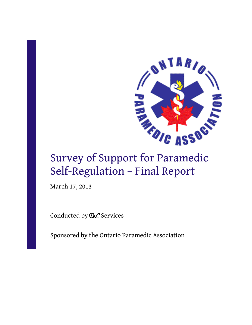

# Survey of Support for Paramedic Self-Regulation – Final Report

March 17, 2013

Conducted by  $\mathcal{DL}$  Services

Sponsored by the Ontario Paramedic Association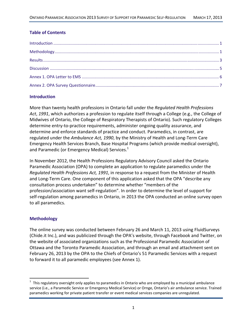# **Table of Contents**

# **Introduction**

More than twenty health professions in Ontario fall under the *Regulated Health Professions Act*, *1991*, which authorizes a profession to regulate itself through a College (e.g., the College of Midwives of Ontario, the College of Respiratory Therapists of Ontario). Such regulatory Colleges determine entry‐to‐practice requirements, administer ongoing quality assurance, and determine and enforce standards of practice and conduct. Paramedics, in contrast, are regulated under the *Ambulance Act, 1990*, by the Ministry of Health and Long‐Term Care Emergency Health Services Branch, Base Hospital Programs (which provide medical oversight), and Paramedic (or Emergency Medical) Services.<sup>1</sup>

In November 2012, the Health Professions Regulatory Advisory Council asked the Ontario Paramedic Association (OPA) to complete an application to regulate paramedics under the *Regulated Health Professions Act, 1991*, in response to a request from the Minister of Health and Long‐Term Care. One component of this application asked that the OPA "describe any consultation process undertaken" to determine whether "members of the profession/association want self‐regulation". In order to determine the level of support for self‐regulation among paramedics in Ontario, in 2013 the OPA conducted an online survey open to all paramedics.

# **Methodology**

The online survey was conducted between February 26 and March 11, 2013 using FluidSurveys (Chide.it Inc.), and was publicized through the OPA's website, through Facebook and Twitter, on the website of associated organizations such as the Professional Paramedic Association of Ottawa and the Toronto Paramedic Association, and through an email and attachment sent on February 26, 2013 by the OPA to the Chiefs of Ontario's 51 Paramedic Services with a request to forward it to all paramedic employees (see Annex 1).

 $1$  This regulatory oversight only applies to paramedics in Ontario who are employed by a municipal ambulance service (i.e., a Paramedic Service or Emergency Medical Service) or Ornge, Ontario's air ambulance service. Trained paramedics working for private patient transfer or event medical services companies are unregulated.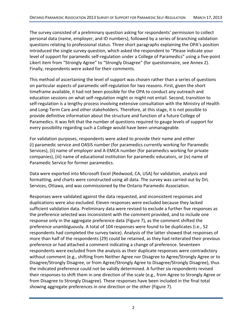The survey consisted of a preliminary question asking for respondents' permission to collect personal data (name, employer, and ID numbers), followed by a series of branching validation questions relating to professional status. Three short paragraphs explaining the OPA's position introduced the single survey question, which asked the respondent to "Please indicate your level of support for paramedic self-regulation under a College of Paramedics" using a five-point Likert item from "Strongly Agree" to "Strongly Disagree" (for questionnaire, see Annex 2). Finally, respondents were asked for their comments.

This method of ascertaining the level of support was chosen rather than a series of questions on particular aspects of paramedic self‐regulation for two reasons. First, given the short timeframe available, it had not been possible for the OPA to conduct any outreach and education sessions on what self‐regulation might or might not entail. Second, transition to self-regulation is a lengthy process involving extensive consultation with the Ministry of Health and Long‐Term Care and other stakeholders. Therefore, at this stage, it is not possible to provide definitive information about the structure and function of a future College of Paramedics. It was felt that the number of questions required to gauge levels of support for every possibility regarding such a College would have been unmanageable.

For validation purposes, respondents were asked to provide their name and either (i) paramedic service and OASIS number (for paramedics currently working for Paramedic Services), (ii) name of employer and A‐EMCA number (for paramedics working for private companies), (iii) name of educational institution for paramedic educators, or (iv) name of Paramedic Service for former paramedics.

Data were exported into Microsoft Excel (Redwood, CA, USA) for validation, analysis and formatting, and charts were constructed using all data. The survey was carried out by DrL Services, Ottawa, and was commissioned by the Ontario Paramedic Association.

Responses were validated against the data requested, and inconsistent responses and duplications were also excluded. Eleven responses were excluded because they lacked sufficient validation data. Preliminary data were revised to exclude a further five responses as the preference selected was inconsistent with the comment provided, and to include one response only in the aggregate preference data (Figure 7), as the comment shifted the preference unambiguously. A total of 104 responses were found to be duplicates (i.e., 52 respondents had completed the survey twice). Analysis of the latter showed that responses of more than half of the respondents (29) could be retained, as they had reiterated their previous preference or had attached a comment indicating a change of preference. Seventeen respondents were excluded from the analysis as their duplicate responses were contradictory without comment (e.g., shifting from Neither Agree nor Disagree to Agree/Strongly Agree or to Disagree/Strongly Disagree, or from Agree/Strongly Agree to Disagree/Strongly Disagree), thus the indicated preference could not be validly determined. A further six respondents revised their responses to shift them in one direction of the scale (e.g., from Agree to Strongly Agree or from Disagree to Strongly Disagree). These responses have been included in the final total showing aggregate preferences in one direction or the other (Figure 7).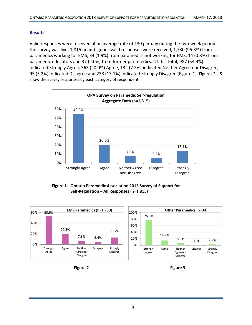# **Results**

Valid responses were received at an average rate of 130 per day during the two‐week period the survey was live. 1,815 unambiguous valid responses were received, 1,730 (95.3%) from paramedics working for EMS, 34 (1.9%) from paramedics not working for EMS, 14 (0.8%) from paramedic educators and 37 (2.0%) from former paramedics. Of this total, 987 (54.4%) indicated Strongly Agree, 363 (20.0%) Agree, 132 (7.3%) indicated Neither Agree nor Disagree, 95 (5.2%) indicated Disagree and 238 (13.1%) indicated Strongly Disagree (Figure 1). Figures 2 – 5 show the survey responses by each category of respondent.



**Figure 1. Ontario Paramedic Association 2013 Survey of Support for Self‐Regulation – All Responses** (n=1,815)





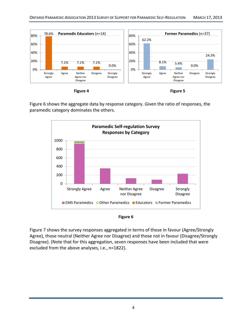

**Figure 4 Figure 5**

Figure 6 shows the aggregate data by response category. Given the ratio of responses, the paramedic category dominates the others.





Figure 7 shows the survey responses aggregated in terms of those in favour (Agree/Strongly Agree), those neutral (Neither Agree nor Disagree) and those not in favour (Disagree/Strongly Disagree). (Note that for this aggregation, seven responses have been included that were excluded from the above analyses, i.e., n=1822).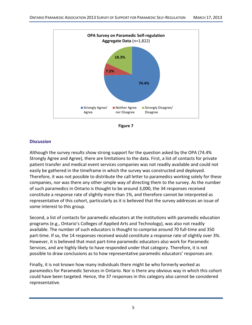



## **Discussion**

Although the survey results show strong support for the question asked by the OPA (74.4% Strongly Agree and Agree), there are limitations to the data. First, a list of contacts for private patient transfer and medical event services companies was not readily available and could not easily be gathered in the timeframe in which the survey was constructed and deployed. Therefore, it was not possible to distribute the call letter to paramedics working solely for these companies, nor was there any other simple way of directing them to the survey. As the number of such paramedics in Ontario is thought to be around 3,000, the 34 responses received constitute a response rate of slightly more than 1%, and therefore cannot be interpreted as representative of this cohort, particularly as it is believed that the survey addresses an issue of some interest to this group.

Second, a list of contacts for paramedic educators at the institutions with paramedic education programs (e.g., Ontario's Colleges of Applied Arts and Technology), was also not readily available. The number of such educators is thought to comprise around 70 full‐time and 350 part-time. If so, the 14 responses received would constitute a response rate of slightly over 3%. However, it is believed that most part‐time paramedic educators also work for Paramedic Services, and are highly likely to have responded under that category. Therefore, it is not possible to draw conclusions as to how representative paramedic educators' responses are.

Finally, it is not known how many individuals there might be who formerly worked as paramedics for Paramedic Services in Ontario. Nor is there any obvious way in which this cohort could have been targeted. Hence, the 37 responses in this category also cannot be considered representative.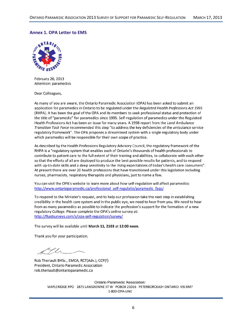#### **Annex 1. OPA Letter to EMS**



February 26, 2013 Attention: paramedics

Dear Colleagues,

As many of you are aware, the Ontario Paramedic Association (OPA) has been asked to submit an application for paramedics in Ontario to be regulated under the Regulated Health Professions Act 1991 (RHPA). It has been the goal of the OPA and its members to seek professional status and protection of the title of "paramedic" for paramedics since 1995. Self-regulation of paramedics under the Regulated Health Professions Act has been an issue for many years. A 1998 report from the Land Ambulance Transition Task Force recommended this step "to address the key deficiencies of the ambulance service regulatory framework". The OPA proposes a streamlined system with a single regulatory body under which paramedics will be responsible for their own scope of practice.

As described by the Health Professions Regulatory Advisory Council, the regulatory framework of the RHPA is a "regulatory system that enables each of Ontario's thousands of health professionals to contribute to patient care to the full extent of their training and abilities, to collaborate with each other so that the efforts of all are deployed to produce the best possible results for patients, and to respond with up-to-date skills and a deep sensitivity to the rising expectations of today's health care consumers". At present there are over 20 health professions that have transitioned under this legislation including nurses, pharmacists, respiratory therapists and physicians, just to name a few.

You can visit the OPA's website to learn more about how self-regulation will affect paramedics: http://www.ontarioparamedic.ca/professional self-regulatio/paramedic faqs/

To respond to the Minister's request, and to help our profession take the next step in establishing credibility in the health care system and in the public eye, we need to hear from you. We need to hear from as many paramedics as possible to indicate the profession's support for the formation of a new regulatory College. Please complete the OPA's online survey at: http://fluidsurveys.com/s/opa-self-regulation/survey/

The survey will be available until March 11, 2103 at 12:00 noon.

Thank you for your participation.

li -

Rob Theriault BHSc., EMCA, RCT(Adv.), CCP(f) President, Ontario Paramedic Association rob.theriault@ontarioparamedic.ca

**Ontario Paramedic Association:** MAPLERIDGE RPO 1875 LANSDOWNE ST W POBOX 21016 PETERBOROUGH ONTARIO K9J 8M7 1-800-OPA-LINE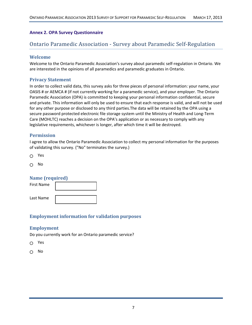#### **Annex 2. OPA Survey Questionnaire**

# Ontario Paramedic Association ‐ Survey about Paramedic Self‐Regulation

#### **Welcome**

Welcome to the Ontario Paramedic Association's survey about paramedic self‐regulation in Ontario. We are interested in the opinions of all paramedics and paramedic graduates in Ontario.

#### **Privacy Statement**

In order to collect valid data, this survey asks for three pieces of personal information: your name, your OASIS # or AEMCA # (if not currently working for a paramedic service), and your employer. The Ontario Paramedic Association (OPA) is committed to keeping your personal information confidential, secure and private. This information will only be used to ensure that each response is valid, and will not be used for any other purpose or disclosed to any third parties.The data will be retained by the OPA using a secure password protected electronic file storage system until the Ministry of Health and Long-Term Care (MOHLTC) reaches a decision on the OPA's application or as necessary to comply with any legislative requirements, whichever is longer, after which time it will be destroyed.

#### **Permission**

I agree to allow the Ontario Paramedic Association to collect my personal information for the purposes of validating this survey. ("No" terminates the survey.)

Yes  $\bigcap$ 

No  $\cap$ 

#### **Name (required)**

First Name <u> La componenta de la componenta de la componenta de la componenta de la componenta de la componenta de la compo</u> Last Name <u> Linda a shekara ta 1999 a shekara ta 1999 a shekara ta 1999 a shekara ta 1991 a shekara ta 1991 a shekara ta 1991 a shekara ta 1991 a shekara ta 1991 a shekara ta 1991 a shekara ta 1991 a shekara ta 1991 a shekara ta 199</u>

#### **Employment information for validation purposes**

#### **Employment**

Do you currently work for an Ontario paramedic service?

- $\cap$ Yes
- No∩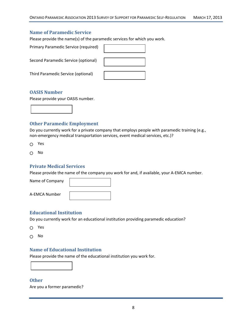# **Name of Paramedic Service**

Please provide the name(s) of the paramedic services for which you work.

| Primary Paramedic Service (required) |  |
|--------------------------------------|--|
| Second Paramedic Service (optional)  |  |
| Third Paramedic Service (optional)   |  |

#### **OASIS Number**

Please provide your OASIS number.



#### **Other Paramedic Employment**

Do you currently work for a private company that employs people with paramedic training (e.g., non-emergency medical transportation services, event medical services, etc.)?

 $\Omega$ Yes

No  $\bigcirc$ 

#### **Private Medical Services**

Please provide the name of the company you work for and, if available, your A‐EMCA number.

Name of Company

A‐EMCA Number

#### **Educational Institution**

Do you currently work for an educational institution providing paramedic education?

Yes

 $\Omega$ No

#### **Name of Educational Institution**

Please provide the name of the educational institution you work for.



## **Other**

Are you a former paramedic?